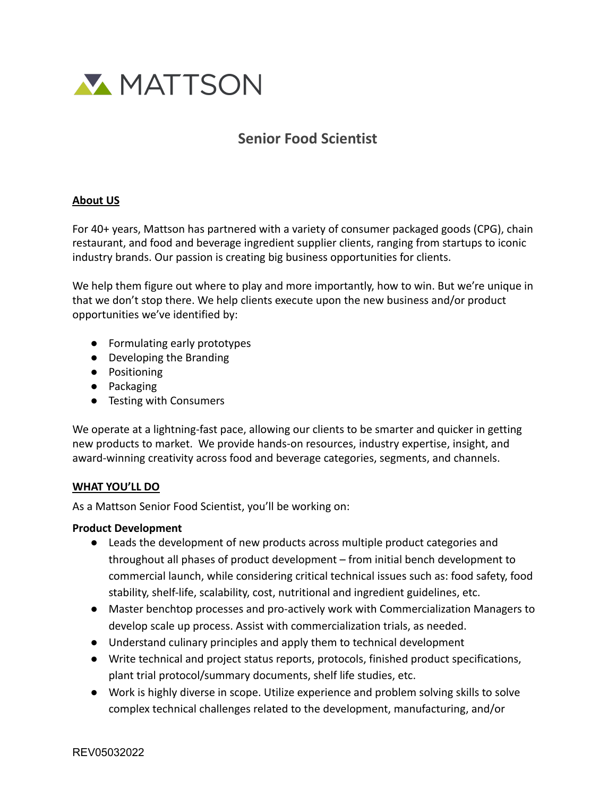

# **Senior Food Scientist**

#### **About US**

For 40+ years, Mattson has partnered with a variety of consumer packaged goods (CPG), chain restaurant, and food and beverage ingredient supplier clients, ranging from startups to iconic industry brands. Our passion is creating big business opportunities for clients.

We help them figure out where to play and more importantly, how to win. But we're unique in that we don't stop there. We help clients execute upon the new business and/or product opportunities we've identified by:

- Formulating early prototypes
- Developing the Branding
- Positioning
- Packaging
- Testing with Consumers

We operate at a lightning-fast pace, allowing our clients to be smarter and quicker in getting new products to market. We provide hands-on resources, industry expertise, insight, and award-winning creativity across food and beverage categories, segments, and channels.

## **WHAT YOU'LL DO**

As a Mattson Senior Food Scientist, you'll be working on:

#### **Product Development**

- Leads the development of new products across multiple product categories and throughout all phases of product development – from initial bench development to commercial launch, while considering critical technical issues such as: food safety, food stability, shelf-life, scalability, cost, nutritional and ingredient guidelines, etc.
- Master benchtop processes and pro-actively work with Commercialization Managers to develop scale up process. Assist with commercialization trials, as needed.
- Understand culinary principles and apply them to technical development
- Write technical and project status reports, protocols, finished product specifications, plant trial protocol/summary documents, shelf life studies, etc.
- Work is highly diverse in scope. Utilize experience and problem solving skills to solve complex technical challenges related to the development, manufacturing, and/or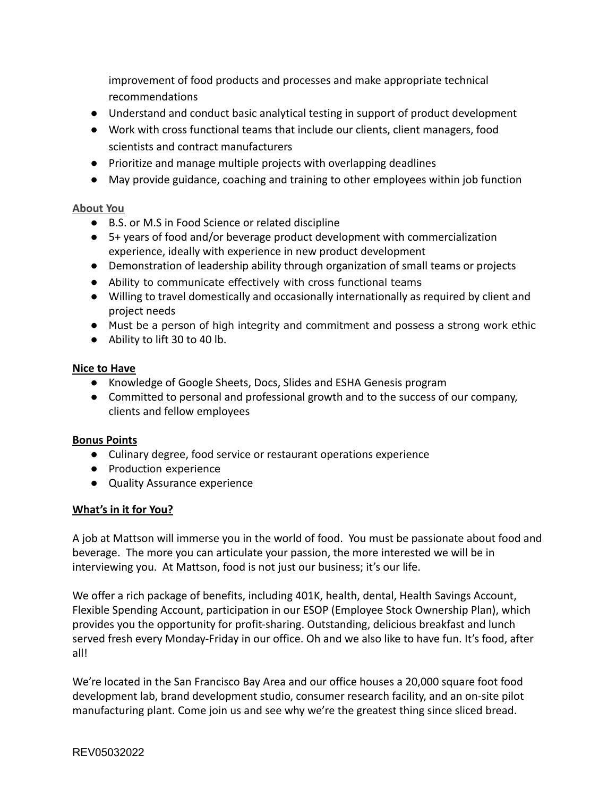improvement of food products and processes and make appropriate technical recommendations

- Understand and conduct basic analytical testing in support of product development
- Work with cross functional teams that include our clients, client managers, food scientists and contract manufacturers
- Prioritize and manage multiple projects with overlapping deadlines
- May provide guidance, coaching and training to other employees within job function

## **About You**

- B.S. or M.S in Food Science or related discipline
- 5+ years of food and/or beverage product development with commercialization experience, ideally with experience in new product development
- Demonstration of leadership ability through organization of small teams or projects
- Ability to communicate effectively with cross functional teams
- Willing to travel domestically and occasionally internationally as required by client and project needs
- Must be a person of high integrity and commitment and possess a strong work ethic
- Ability to lift 30 to 40 lb.

## **Nice to Have**

- Knowledge of Google Sheets, Docs, Slides and ESHA Genesis program
- Committed to personal and professional growth and to the success of our company, clients and fellow employees

## **Bonus Points**

- Culinary degree, food service or restaurant operations experience
- Production experience
- Quality Assurance experience

## **What's in it for You?**

A job at Mattson will immerse you in the world of food. You must be passionate about food and beverage. The more you can articulate your passion, the more interested we will be in interviewing you. At Mattson, food is not just our business; it's our life.

We offer a rich package of benefits, including 401K, health, dental, Health Savings Account, Flexible Spending Account, participation in our ESOP (Employee Stock Ownership Plan), which provides you the opportunity for profit-sharing. Outstanding, delicious breakfast and lunch served fresh every Monday-Friday in our office. Oh and we also like to have fun. It's food, after all!

We're located in the San Francisco Bay Area and our office houses a 20,000 square foot food development lab, brand development studio, consumer research facility, and an on-site pilot manufacturing plant. Come join us and see why we're the greatest thing since sliced bread.